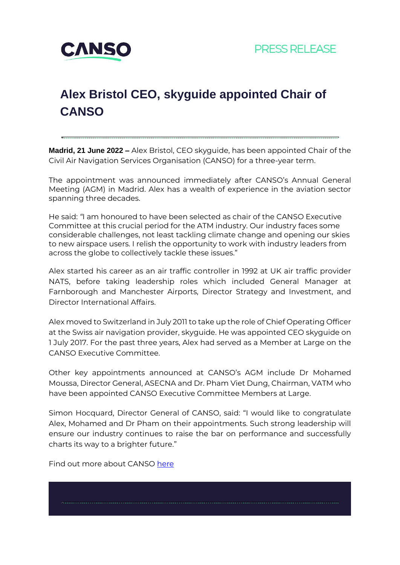

# **Alex Bristol CEO, skyguide appointed Chair of CANSO**

**Madrid, 21 June 2022 –** Alex Bristol, CEO skyguide, has been appointed Chair of the Civil Air Navigation Services Organisation (CANSO) for a three-year term.

The appointment was announced immediately after CANSO's Annual General Meeting (AGM) in Madrid. Alex has a wealth of experience in the aviation sector spanning three decades.

He said: *"*I am honoured to have been selected as chair of the CANSO Executive Committee at this crucial period for the ATM industry. Our industry faces some considerable challenges, not least tackling climate change and opening our skies to new airspace users. I relish the opportunity to work with industry leaders from across the globe to collectively tackle these issues."

Alex started his career as an air traffic controller in 1992 at UK air traffic provider NATS, before taking leadership roles which included General Manager at Farnborough and Manchester Airports, Director Strategy and Investment, and Director International Affairs.

Alex moved to Switzerland in July 2011 to take up the role of Chief Operating Officer at the Swiss air navigation provider, skyguide. He was appointed CEO skyguide on 1 July 2017. For the past three years, Alex had served as a Member at Large on the CANSO Executive Committee.

Other key appointments announced at CANSO's AGM include Dr Mohamed Moussa, Director General, ASECNA and Dr. Pham Viet Dung, Chairman, VATM who have been appointed CANSO Executive Committee Members at Large.

Simon Hocquard, Director General of CANSO, said: "I would like to congratulate Alex, Mohamed and Dr Pham on their appointments. Such strong leadership will ensure our industry continues to raise the bar on performance and successfully charts its way to a brighter future."

Find out more about CANSO [here](https://canso.org/)